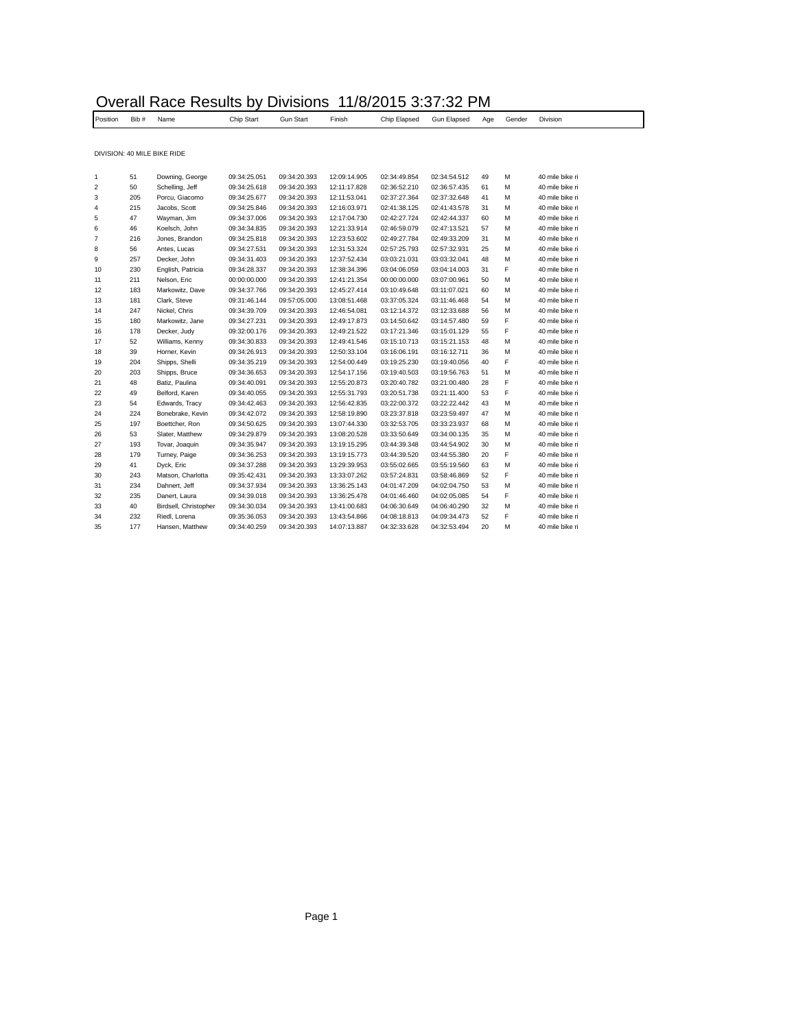| Position                | Bib# | Name                        | Chip Start   | <b>Gun Start</b> | Finish       | Chip Elapsed | Gun Elapsed  | Age | Gender | Division        |
|-------------------------|------|-----------------------------|--------------|------------------|--------------|--------------|--------------|-----|--------|-----------------|
|                         |      |                             |              |                  |              |              |              |     |        |                 |
|                         |      | DIVISION: 40 MILE BIKE RIDE |              |                  |              |              |              |     |        |                 |
|                         |      |                             |              |                  |              |              |              |     |        |                 |
| 1                       | 51   | Downing, George             | 09:34:25.051 | 09:34:20.393     | 12:09:14.905 | 02:34:49.854 | 02:34:54.512 | 49  | M      | 40 mile bike ri |
| $\overline{\mathbf{c}}$ | 50   | Schelling, Jeff             | 09:34:25.618 | 09:34:20.393     | 12:11:17.828 | 02:36:52.210 | 02:36:57.435 | 61  | M      | 40 mile bike ri |
| 3                       | 205  | Porcu, Giacomo              | 09:34:25.677 | 09:34:20.393     | 12:11:53.041 | 02:37:27.364 | 02:37:32.648 | 41  | M      | 40 mile bike ri |
| 4                       | 215  | Jacobs, Scott               | 09:34:25.846 | 09:34:20.393     | 12:16:03.971 | 02:41:38.125 | 02:41:43.578 | 31  | M      | 40 mile bike ri |
| 5                       | 47   | Wayman, Jim                 | 09:34:37.006 | 09:34:20.393     | 12:17:04.730 | 02:42:27.724 | 02:42:44.337 | 60  | M      | 40 mile bike ri |
| 6                       | 46   | Koelsch, John               | 09:34:34.835 | 09:34:20.393     | 12:21:33.914 | 02:46:59.079 | 02:47:13.521 | 57  | M      | 40 mile bike ri |
| $\overline{7}$          | 216  | Jones, Brandon              | 09:34:25.818 | 09:34:20.393     | 12:23:53.602 | 02:49:27.784 | 02:49:33.209 | 31  | M      | 40 mile bike ri |
| 8                       | 56   | Antes, Lucas                | 09:34:27.531 | 09:34:20.393     | 12:31:53.324 | 02:57:25.793 | 02:57:32.931 | 25  | M      | 40 mile bike ri |
| 9                       | 257  | Decker, John                | 09:34:31.403 | 09:34:20.393     | 12:37:52.434 | 03:03:21.031 | 03:03:32.041 | 48  | M      | 40 mile bike ri |
| 10                      | 230  | English, Patricia           | 09:34:28.337 | 09:34:20.393     | 12:38:34.396 | 03:04:06.059 | 03:04:14.003 | 31  | F      | 40 mile bike ri |
| 11                      | 211  | Nelson, Eric                | 00:00:00.000 | 09:34:20.393     | 12:41:21.354 | 00:00:00.000 | 03:07:00.961 | 50  | M      | 40 mile bike ri |
| 12                      | 183  | Markowitz, Dave             | 09:34:37.766 | 09:34:20.393     | 12:45:27.414 | 03:10:49.648 | 03:11:07.021 | 60  | M      | 40 mile bike ri |
| 13                      | 181  | Clark, Steve                | 09:31:46.144 | 09:57:05.000     | 13:08:51.468 | 03:37:05.324 | 03:11:46.468 | 54  | M      | 40 mile bike ri |
| 14                      | 247  | Nickel, Chris               | 09:34:39.709 | 09:34:20.393     | 12:46:54.081 | 03:12:14.372 | 03:12:33.688 | 56  | M      | 40 mile bike ri |
| 15                      | 180  | Markowitz, Jane             | 09:34:27.231 | 09:34:20.393     | 12:49:17.873 | 03:14:50.642 | 03:14:57.480 | 59  | F      | 40 mile bike ri |
| 16                      | 178  | Decker, Judy                | 09:32:00.176 | 09:34:20.393     | 12:49:21.522 | 03:17:21.346 | 03:15:01.129 | 55  | F      | 40 mile bike ri |
| 17                      | 52   | Williams, Kenny             | 09:34:30.833 | 09:34:20.393     | 12:49:41.546 | 03:15:10.713 | 03:15:21.153 | 48  | M      | 40 mile bike ri |
| 18                      | 39   | Horner, Kevin               | 09:34:26.913 | 09:34:20.393     | 12:50:33.104 | 03:16:06.191 | 03:16:12.711 | 36  | M      | 40 mile bike ri |
| 19                      | 204  | Shipps, Shelli              | 09:34:35.219 | 09:34:20.393     | 12:54:00.449 | 03:19:25.230 | 03:19:40.056 | 40  | F      | 40 mile bike ri |
| 20                      | 203  | Shipps, Bruce               | 09:34:36.653 | 09:34:20.393     | 12:54:17.156 | 03:19:40.503 | 03:19:56.763 | 51  | M      | 40 mile bike ri |
| 21                      | 48   | Batiz, Paulina              | 09:34:40.091 | 09:34:20.393     | 12:55:20.873 | 03:20:40.782 | 03:21:00.480 | 28  | F      | 40 mile bike ri |
| 22                      | 49   | Belford, Karen              | 09:34:40.055 | 09:34:20.393     | 12:55:31.793 | 03:20:51.738 | 03:21:11.400 | 53  | F      | 40 mile bike ri |
| 23                      | 54   | Edwards, Tracy              | 09:34:42.463 | 09:34:20.393     | 12:56:42.835 | 03:22:00.372 | 03:22:22.442 | 43  | M      | 40 mile bike ri |
| 24                      | 224  | Bonebrake, Kevin            | 09:34:42.072 | 09:34:20.393     | 12:58:19.890 | 03:23:37.818 | 03:23:59.497 | 47  | M      | 40 mile bike ri |
| 25                      | 197  | Boettcher, Ron              | 09:34:50.625 | 09:34:20.393     | 13:07:44.330 | 03:32:53.705 | 03:33:23.937 | 68  | M      | 40 mile bike ri |
| 26                      | 53   | Slater, Matthew             | 09:34:29.879 | 09:34:20.393     | 13:08:20.528 | 03:33:50.649 | 03:34:00.135 | 35  | M      | 40 mile bike ri |
| 27                      | 193  | Tovar, Joaquin              | 09:34:35.947 | 09:34:20.393     | 13:19:15.295 | 03:44:39.348 | 03:44:54.902 | 30  | M      | 40 mile bike ri |
| 28                      | 179  | Turney, Paige               | 09:34:36.253 | 09:34:20.393     | 13:19:15.773 | 03:44:39.520 | 03:44:55.380 | 20  | F      | 40 mile bike ri |
| 29                      | 41   | Dyck, Eric                  | 09:34:37.288 | 09:34:20.393     | 13:29:39.953 | 03:55:02.665 | 03:55:19.560 | 63  | M      | 40 mile bike ri |
| 30                      | 243  | Matson, Charlotta           | 09:35:42.431 | 09:34:20.393     | 13:33:07.262 | 03:57:24.831 | 03:58:46.869 | 52  | F      | 40 mile bike ri |
| 31                      | 234  | Dahnert, Jeff               | 09:34:37.934 | 09:34:20.393     | 13:36:25.143 | 04:01:47.209 | 04:02:04.750 | 53  | M      | 40 mile bike ri |
| 32                      | 235  | Danert, Laura               | 09:34:39.018 | 09:34:20.393     | 13:36:25.478 | 04:01:46.460 | 04:02:05.085 | 54  | F      | 40 mile bike ri |
| 33                      | 40   | Birdsell, Christopher       | 09:34:30.034 | 09:34:20.393     | 13:41:00.683 | 04:06:30.649 | 04:06:40.290 | 32  | M      | 40 mile bike ri |
| 34                      | 232  | Riedl, Lorena               | 09:35:36.053 | 09:34:20.393     | 13:43:54.866 | 04:08:18.813 | 04:09:34.473 | 52  | F      | 40 mile bike ri |
| 35                      | 177  | Hansen, Matthew             | 09:34:40.259 | 09:34:20.393     | 14:07:13.887 | 04:32:33.628 | 04:32:53.494 | 20  | M      | 40 mile bike ri |